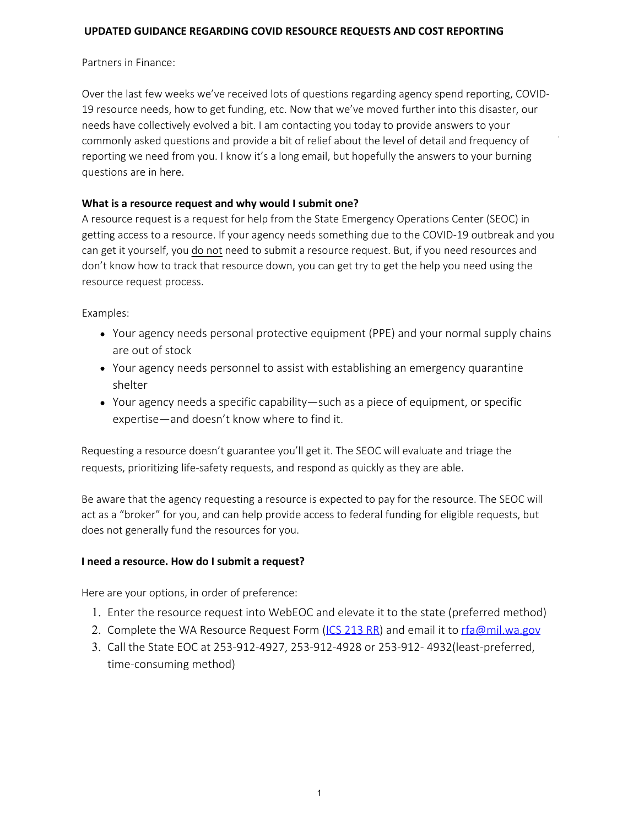#### **UPDATED GUIDANCE REGARDING COVID RESOURCE REQUESTS AND COST REPORTING**

#### Partners in Finance:

Over the last few weeks we've received lots of questions regarding agency spend reporting, COVID-19 resource needs, how to get funding, etc. Now that we've moved further into this disaster, our needs have collectively evolved a bit. I am contacting you today to provide answers to your commonly asked questions and provide a bit of relief about the level of detail and frequency of reporting we need from you. I know it's a long email, but hopefully the answers to your burning questions are in here.

#### **What is a resource request and why would I submit one?**

A resource request is a request for help from the State Emergency Operations Center (SEOC) in getting access to a resource. If your agency needs something due to the COVID-19 outbreak and you can get it yourself, you do not need to submit a resource request. But, if you need resources and don't know how to track that resource down, you can get try to get the help you need using the resource request process.

#### Examples:

- Your agency needs personal protective equipment (PPE) and your normal supply chains are out of stock
- Your agency needs personnel to assist with establishing an emergency quarantine shelter
- Your agency needs a specific capability—such as a piece of equipment, or specific expertise—and doesn't know where to find it.

Requesting a resource doesn't guarantee you'll get it. The SEOC will evaluate and triage the requests, prioritizing life-safety requests, and respond as quickly as they are able.

Be aware that the agency requesting a resource is expected to pay for the resource. The SEOC will act as a "broker" for you, and can help provide access to federal funding for eligible requests, but does not generally fund the resources for you.

## **I need a resource. How do I submit a request?**

Here are your options, in order of preference:

- 1. Enter the resource request into WebEOC and elevate it to the state (preferred method)
- 2. Complete the WA Resource Request Form (ICS 213 RR) and email it to rfa@mil.wa.gov
- 3. Call the State EOC at 253-912-4927, 253-912-4928 or 253-912- 4932(least-preferred, time-consuming method)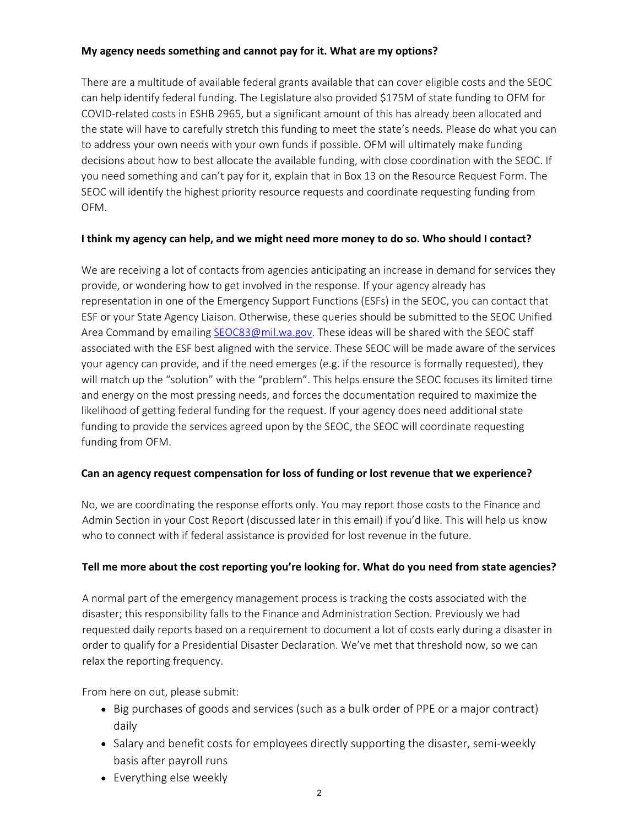## **My agency needs something and cannot pay for it. What are my options?**

There are a multitude of available federal grants available that can cover eligible costs and the SEOC can help identify federal funding. The Legislature also provided \$175M of state funding to OFM for COVID-related costs in ESHB 2965, but a significant amount of this has already been allocated and the state will have to carefully stretch this funding to meet the state's needs. Please do what you can to address your own needs with your own funds if possible. OFM will ultimately make funding decisions about how to best allocate the available funding, with close coordination with the SEOC. If you need something and can't pay for it, explain that in Box 13 on the Resource Request Form. The SEOC will identify the highest priority resource requests and coordinate requesting funding from OFM.

## **I think my agency can help, and we might need more money to do so. Who should I contact?**

We are receiving a lot of contacts from agencies anticipating an increase in demand for services they provide, or wondering how to get involved in the response. If your agency already has representation in one of the Emergency Support Functions (ESFs) in the SEOC, you can contact that ESF or your State Agency Liaison. Otherwise, these queries should be submitted to the SEOC Unified Area Command by emailing [SEOC83@mil.wa.gov](mailto:SEOC83@mil.wa.gov). These ideas will be shared with the SEOC staff associated with the ESF best aligned with the service. These SEOC will be made aware of the services your agency can provide, and if the need emerges (e.g. if the resource is formally requested), they will match up the "solution" with the "problem". This helps ensure the SEOC focuses its limited time and energy on the most pressing needs, and forces the documentation required to maximize the likelihood of getting federal funding for the request. If your agency does need additional state funding to provide the services agreed upon by the SEOC, the SEOC will coordinate requesting funding from OFM.

## **Can an agency request compensation for loss of funding or lost revenue that we experience?**

No, we are coordinating the response efforts only. You may report those costs to the Finance and Admin Section in your Cost Report (discussed later in this email) if you'd like. This will help us know who to connect with if federal assistance is provided for lost revenue in the future.

# **Tell me more about the cost reporting you're looking for. What do you need from state agencies?**

A normal part of the emergency management process is tracking the costs associated with the disaster; this responsibility falls to the Finance and Administration Section. Previously we had requested daily reports based on a requirement to document a lot of costs early during a disaster in order to qualify for a Presidential Disaster Declaration. We've met that threshold now, so we can relax the reporting frequency.

From here on out, please submit:

- Big purchases of goods and services (such as a bulk order of PPE or a major contract) daily
- Salary and benefit costs for employees directly supporting the disaster, semi-weekly basis after payroll runs
- Everything else weekly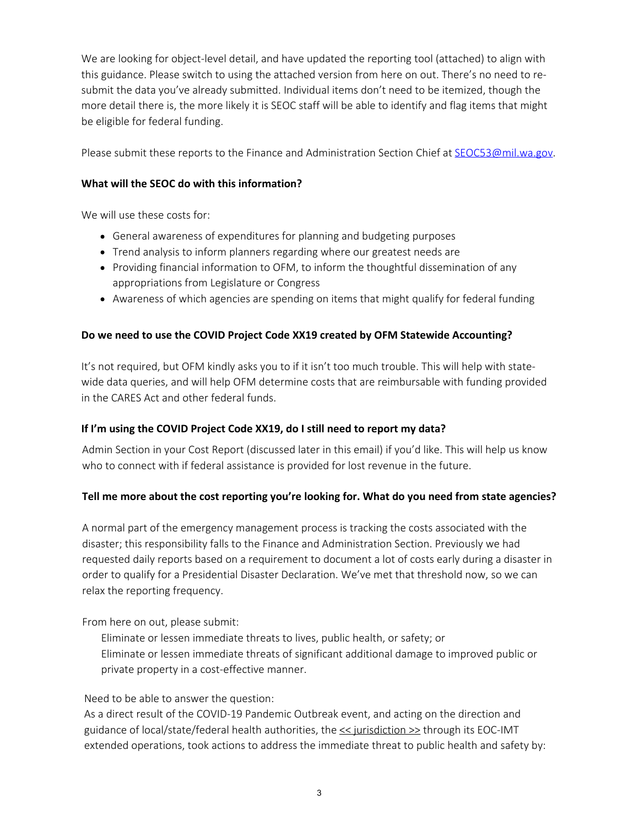We are looking for object-level detail, and have updated the reporting tool (attached) to align with this guidance. Please switch to using the attached version from here on out. There's no need to resubmit the data you've already submitted. Individual items don't need to be itemized, though the more detail there is, the more likely it is SEOC staff will be able to identify and flag items that might be eligible for federal funding.

Please submit these reports to the Finance and Administration Section Chief at [SEOC53@mil.wa.gov.](mailto:SEOC53@mil.wa.gov)

## **What will the SEOC do with this information?**

We will use these costs for:

- General awareness of expenditures for planning and budgeting purposes
- Trend analysis to inform planners regarding where our greatest needs are
- Providing financial information to OFM, to inform the thoughtful dissemination of any appropriations from Legislature or Congress
- Awareness of which agencies are spending on items that might qualify for federal funding

## **Do we need to use the COVID Project Code XX19 created by OFM Statewide Accounting?**

It's not required, but OFM kindly asks you to if it isn't too much trouble. This will help with statewide data queries, and will help OFM determine costs that are reimbursable with funding provided in the CARES Act and other federal funds.

## **If I'm using the COVID Project Code XX19, do I still need to report my data?**

Admin Section in your Cost Report (discussed later in this email) if you'd like. This will help us know who to connect with if federal assistance is provided for lost revenue in the future.

# **Tell me more about the cost reporting you're looking for. What do you need from state agencies?**

A normal part of the emergency management process is tracking the costs associated with the disaster; this responsibility falls to the Finance and Administration Section. Previously we had requested daily reports based on a requirement to document a lot of costs early during a disaster in order to qualify for a Presidential Disaster Declaration. We've met that threshold now, so we can relax the reporting frequency.

From here on out, please submit:

Eliminate or lessen immediate threats to lives, public health, or safety; or Eliminate or lessen immediate threats of significant additional damage to improved public or private property in a cost-effective manner.

# Need to be able to answer the question:

As a direct result of the COVID-19 Pandemic Outbreak event, and acting on the direction and guidance of local/state/federal health authorities, the  $\leq$  jurisdiction  $\geq$  through its EOC-IMT extended operations, took actions to address the immediate threat to public health and safety by: